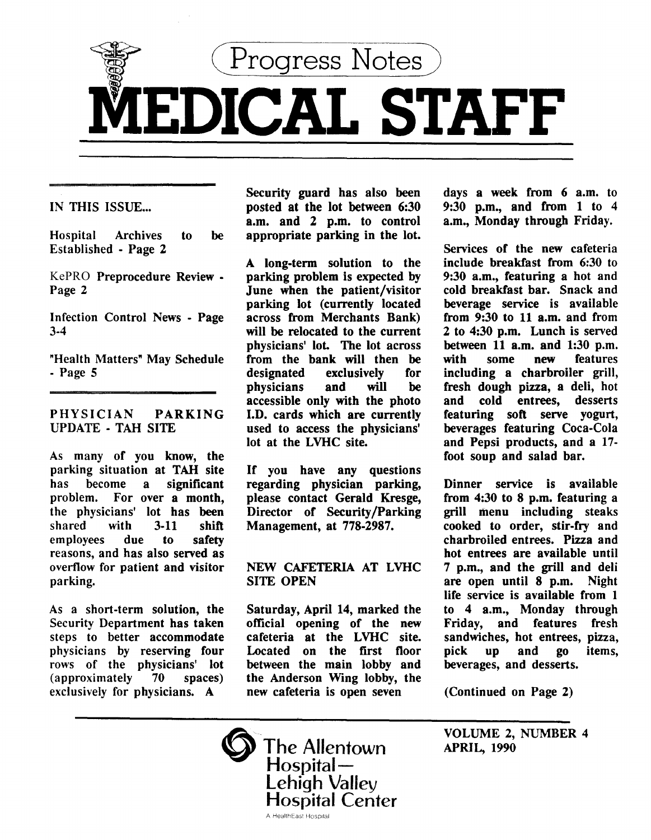

IN THIS ISSUE...

Hospital Archives to be Established - Page *2* 

KePRO Preprocedure Review - Page 2

Infection Control News - Page 3-4

"Health Matters" May Schedule - Page 5

PHYSICIAN PARKING UPDATE - TAH SITE

As many of you know, the parking situation at TAH site<br>has become a significant has become a significant problem. For over a month, the physicians' lot has been<br>shared with 3-11 shift shared with 3-11 shift<br>emplovees due to safety employees reasons, and has also served as overflow for patient and visitor parking.

As a short-term solution, the Security Department has taken steps to better accommodate physicians by reserving four rows of the physicians' lot (approximately 70 spaces) exclusively for physicians. A

Security guard has also been posted at the lot between 6:30 a.m. and *2* p.m. to control appropriate parking in the lot.

A long-term solution to the parking problem is expected by June when the patient/visitor parking lot (currently located across from Merchants Bank) will be relocated to the current physicians' lot. The lot across from the bank will then be<br>designated exclusively for exclusively<br>and will physicians and will be accessible only with the photo J.D. cards which are currently used to access the physicians' lot at the LVHC site.

If you have any questions regarding physician parking, please contact Gerald Kresge, Director of Security/Parking Management, at 778-2987.

NEW CAFETERIA AT LVHC SITE OPEN

Saturday, April 14, marked the official opening of the new cafeteria at the LVHC site. Located on the first floor between the main lobby and the Anderson Wing lobby, the new cafeteria is open seven

days a week from 6 a.m. to 9:30 p.m., and from 1 to 4 a.m., Monday through Friday.

Services of the new cafeteria include breakfast from 6:30 to 9:30 a.m., featuring a hot and cold breakfast bar. Snack and beverage service is available from 9:30 to 11 a.m. and from *2* to 4:30 p.m. Lunch is served between  $11$  a.m. and  $1:30$  p.m.<br>with some new features features including a charbroiler grill, fresh dough pizza, a deli, hot cold entrees, desserts featuring soft serve yogurt, beverages featuring Coca-Cola and Pepsi products, and a 17 foot soup and salad bar.

Dinner service is available from 4:30 to 8 p.m. featuring a grill menu including steaks cooked to order, stir-fry and charbroiled entrees. Pizza and hot entrees are available until 7 p.m., and the grill and deli are open until 8 p.m. Night life service is available from 1 to 4 a.m., Monday through Friday, and features fresh sandwiches, hot entrees, pizza, pick up and go items, beverages, and desserts.

(Continued on Page 2)

VOLUME 2, NUMBER 4 APRIL, 1990

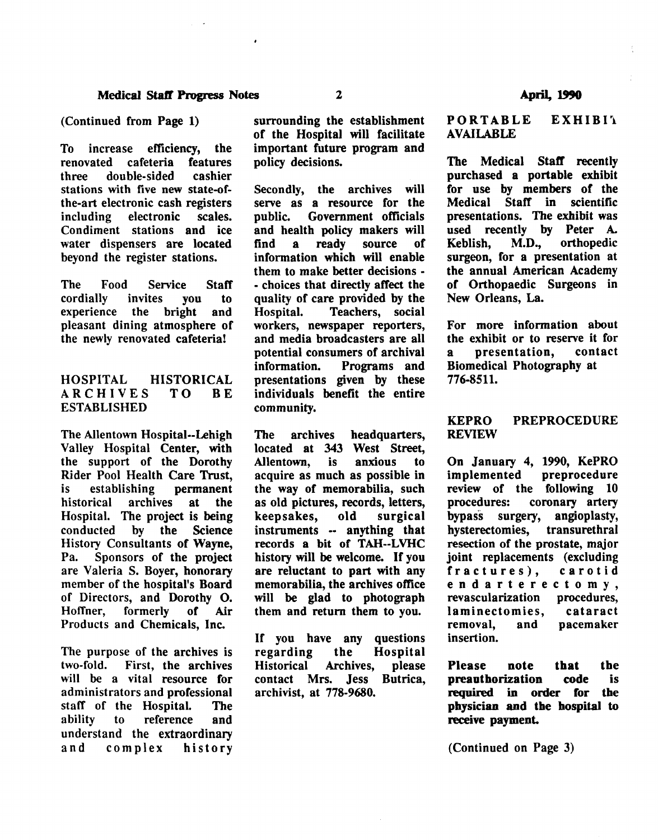To increase efficiency, the renovated cafeteria features three double-sided cashier stations with five new state-ofthe-art electronic cash registers including electronic scales. Condiment stations and ice water dispensers are located beyond the register stations.

The Food Service Staff cordially invites you to<br>experience the bright and experience the bright and pleasant dining atmosphere of the newly renovated cafeteria!

# HOSPITAL HISTORICAL<br>ARCHIVES TO BE ARCHIVES TO BE ESTABLISHED

The Allentown Hospital--Lehigh Valley Hospital Center, with the support of the Dorothy Rider Pool Health Care Trust,<br>is establishing permanent is establishing historical archives at the Hospital. The project is being conducted by the Science History Consultants of Wayne, Pa. Sponsors of the project are Valeria S. Boyer, honorary member of the hospital's Board of Directors, and Dorothy 0. Hoffner, formerly of Air Products and Chemicals, Inc.

The purpose of the archives is two-fold. First, the archives will be a vital resource for administrators and professional staff of the Hospital. The ability to reference and understand the extraordinary and complex history

surrounding the establishment of the Hospital will facilitate important future program and policy decisions.

Secondly, the archives will serve as a resource for the public. Government officials and health policy makers will find a ready source of information which will enable them to make better decisions - - choices that directly affect the quality of care provided by the<br>Hospital. Teachers, social Teachers, social workers, newspaper reporters, and media broadcasters are all potential consumers of archival information. Programs and presentations given by these individuals benefit the entire community.

The archives headquarters, located at 343 West Street, Allentown, is anxious to acquire as much as possible in the way of memorabilia, such as old pictures, records, letters, keepsakes, old surgical instruments -- anything that records a bit of TAH--LVHC history will be welcome. If you are reluctant to part with any memorabilia, the archives office will be glad to photograph them and return them to you.

If you have any questions regarding the Hospital Historical Archives, please contact Mrs. Jess Butrica, archivist, at 778-9680.

#### PORTABLE EXHIBIT AVAILABLE

The Medical Staff recently purchased a portable exhibit for use by members of the<br>Medical Staff in scientific Staff in scientific presentations. The exhibit was used recently by Peter A. Keblish, M.D., orthopedic surgeon, for a presentation at the annual American Academy of Orthopaedic Surgeons in New Orleans, La.

For more information about the exhibit or to reserve it for a presentation, contact Biomedical Photography at 776-8511.

## KEPRO PREPROCEDURE REVIEW

On January 4, 1990, KePRO implemented preprocedure review of the following 10 procedures: coronary artery bypass surgery, angioplasty,<br>hvsterectomies, transurethral hysterectomies. resection of the prostate, major joint replacements (excluding fractures), carotid endarterectomy,<br>revascularization procedures, revascularization laminectomies, cataract removal, and pacemaker insertion.

Please note that the preauthorization code is required in order for the physician and the hospital to receive payment.

(Continued on Page 3)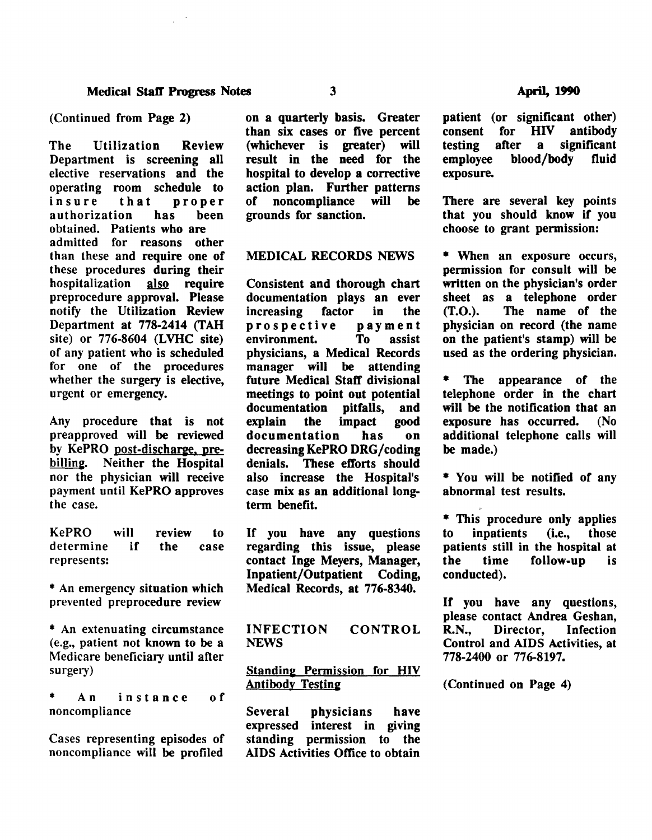The Utilization Review Department is screening all elective reservations and the operating room schedule to<br>insure that proper proper<br>has been authorization obtained. Patients who are admitted for reasons other than these and require one of these procedures during their hospitalization also require preprocedure approval. Please notify the Utilization Review Department at 778-2414 (TAH site) or 776-8604 (LVHC site) of any patient who is scheduled for one of the procedures whether the surgery is elective, urgent or emergency.

Any procedure that is not preapproved will be reviewed by KePRO post-discharge, prebilling. Neither the Hospital nor the physician will receive payment until KePRO approves the case.

KePRO will review to determine if the case represents:

\* An emergency situation which prevented preprocedure review

\* An extenuating circumstance (e.g., patient not known to be a Medicare beneficiary until after surgery)

An instance of noncompliance

Cases representing episodes of noncompliance will be profiled

on a quarterly basis. Greater than six cases or five percent (whichever is greater) will result in the need for the hospital to develop a corrective action plan. Further patterns<br>of noncompliance will be noncompliance will grounds for sanction.

#### MEDICAL RECORDS NEWS

Consistent and thorough chart documentation plays an ever<br>increasing factor in the increasing prospective payment<br>environment. To assist environment. physicians, a Medical Records manager will be attending future Medical Staff divisional meetings to point out potential<br>documentation pitfalls, and documentation pitfalls, and<br>explain the impact good the impact good documentation has on decreasing KePRO DRG /coding denials. These efforts should also increase the Hospital's case mix as an additional longterm benefit.

If you have any questions regarding this issue, please contact Inge Meyers, Manager, Inpatient/Outpatient Coding, Medical Records, at 776-8340.

INFECTION NEWS CONTROL

# Standing Permission for HIV **Antibody Testing**

Several physicians have expressed interest in giving standing permission to the AIDS Activities Office to obtain patient (or significant other) consent for HIV antibody<br>testing after a significant testing after a significant<br>emplovee blood/body fluid blood/body exposure.

There are several key points that you should know if you choose to grant permission:

\* When an exposure occurs, permission for consult will be written on the physician's order sheet as a telephone order (T.O.). The name of the physician on record (the name on the patient's stamp) will be used as the ordering physician.

The appearance of the telephone order in the chart will be the notification that an<br>exposure has occurred. (No exposure has occurred. additional telephone calls will be made.)

\* You will be notified of any abnormal test results.

\* This procedure only applies<br>to inpatients (i.e., those to inpatients patients still in the hospital at<br>the time follow-up is the time follow-up is conducted).

If you have any questions, please contact Andrea Geshan, R.N., Director, Infection Control and AIDS Activities, at 778-2400 or 776-8197.

(Continued on Page 4)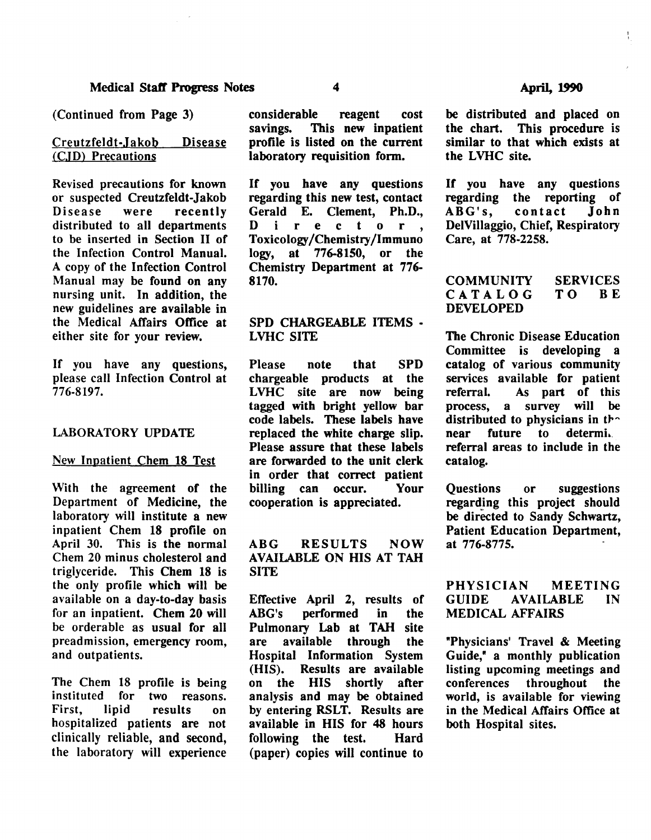## Creutzfeldt-Jakob Disease (CJD) Precautions

Revised precautions for known or suspected Creutzfeldt-Jakob<br>Disease were recently recently distributed to all departments to be inserted in Section II of the Infection Control Manual. A copy of the Infection Control Manual may be found on any nursing unit. In addition, the new guidelines are available in the Medical Affairs Office at either site for your review.

If you have any questions, please call Infection Control at 776-8197.

## LABORATORY UPDATE

#### New Inpatient Chem 18 Test

With the agreement of the Department of Medicine, the laboratory will institute a new inpatient Chern 18 profile on April 30. This is the normal Chern 20 minus cholesterol and triglyceride. This Chern 18 is the only profile which will be available on a day-to-day basis for an inpatient. Chem 20 will be orderable as usual for all preadmission, emergency room, and outpatients.

The Chem 18 profile is being<br>instituted for two reasons. two reasons. First, lipid results on hospitalized patients are not clinically reliable, and second, the laboratory will experience considerable reagent cost<br>savings. This new inpatient This new inpatient profile is listed on the current laboratory requisition form.

If you have any questions regarding this new test, contact Gerald E. Clement, Ph.D., regarding this new test, contact<br>Gerald E. Clement, Ph.D.,<br>D i r e c t o r ,<br>Toxicology/Chemistry/Immuno Toxicology/Chemistry/Immuno<br>logy, at 776-8150, or the at 776-8150, or the Chemistry Department at 776- 8170.

# SPD CHARGEABLE ITEMS - LVHC SITE

Please note that SPD chargeable products at the LVHC site are now being tagged with bright yellow bar code labels. These labels have replaced the white charge slip. Please assure that these labels are forwarded to the unit clerk in order that correct patient billing can occur. Your cooperation is appreciated.

ABG RESULTS NOW AVAILABLE ON HIS AT TAH **SITE** 

Effective April 2, results of ABG's performed in the Pulmonary Lab at TAH site are available through the Hospital Information System (HIS). Results are available shortly after analysis and may be obtained by entering RSLT. Results are available in HIS for 48 hours following the test. Hard (paper) copies will continue to

 $\frac{1}{1}$ 

be distributed and placed on<br>the chart. This procedure is This procedure is similar to that which exists at the LVHC site.

If you have any questions regarding the reporting of<br>ABG's, contact John ABG's, DelVillaggio, Chief, Respiratory Care, at 778-2258.

#### **COMMUNITY** CATALOG DEVELOPED SERVICES<br>TO BE TO B

The Chronic Disease Education Committee is developing a catalog of various community services available for patient<br>referral. As part of this As part of this process, a survey will be distributed to physicians in the near future to determi. referral areas to include in the catalog.

Questions or suggestions regarding this project should be directed to Sandy Schwartz, Patient Education Department, at 776-8775.

# PHYSICIAN MEETING GUIDE AVAILABLE IN MEDICAL AFFAIRS

"Physicians' Travel & Meeting Guide," a monthly publication listing upcoming meetings and conferences throughout the world, is available for viewing in the Medical Affairs Office at both Hospital sites.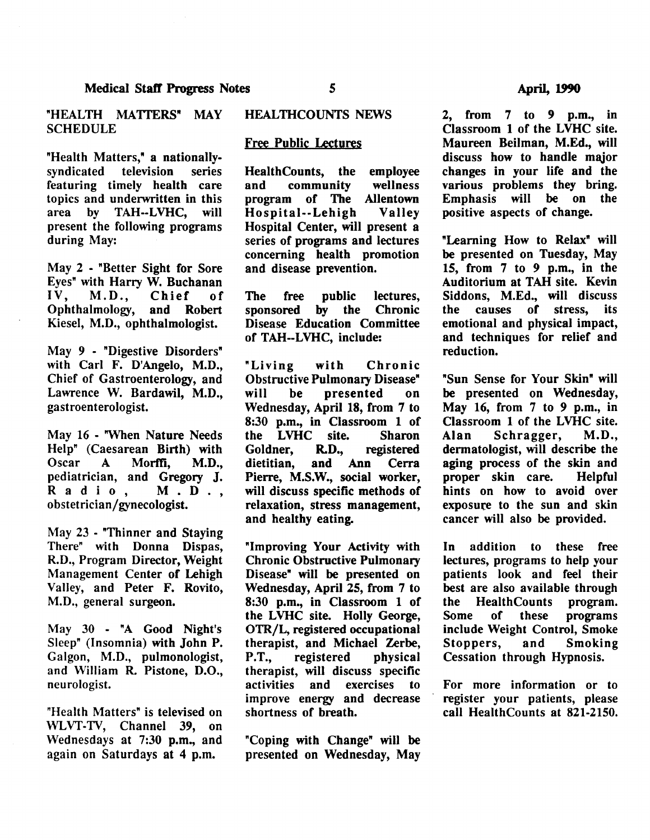"HEALTH MATTERS" MAY **SCHEDULE** 

"Health Matters," a nationally-<br>syndicated television series syndicated television series featuring timely health care topics and underwritten in this area by TAH--LVHC, will present the following programs during May:

May 2 - "Better Sight for Sore Eyes" with Harry W. Buchanan IV, M.D., Chief of<br>Ophthalmology, and Robert Ophthalmology, Kiesel, M.D., ophthalmologist.

May 9 - "Digestive Disorders" with Carl F. D'Angelo, M.D., Chief of Gastroenterology, and Lawrence W. Bardawil, M.D., gastroenterologist.

May 16 - "When Nature Needs Help" (Caesarean Birth) with Oscar A Morffi, M.D., pediatrician, and Gregory J, Radio, M.D., obstetrician/gynecologist.

May 23 - "Thinner and Staying There" with Donna Dispas, R.D., Program Director, Weight Management Center of Lehigh Valley, and Peter F. Rovito, M.D., general surgeon.

May 30 - "A Good Night's Sleep" (Insomnia) with John P. Galgon, M.D., pulmonologist, and William R. Pistone, D.O., neurologist.

"Health Matters" is televised on WLVT-TV, Channel 39, on Wednesdays at 7:30 p.m., and again on Saturdays at 4 p.m.

#### HEALTHCOUNTS NEWS

#### Free Public Lectures

HealthCounts, the employee<br>and community wellness and community wellness<br>program of The Allentown program of The Hospital--Lehigh Valley Hospital Center, will present a series of programs and lectures concerning health promotion and disease prevention.

The free public lectures, sponsored by the Chronic Disease Education Committee of TAH--LVHC, include:

"Living with Chronic Obstructive Pulmonary Disease" will be presented on Wednesday, April 18, from 7 to 8:30 p.m., in Classroom 1 of the LVHC site. Sharon Goldner, R.D., registered dietitian, and Ann Cerra Pierre, M.S.W., social worker, will discuss specific methods of relaxation, stress management, and healthy eating.

"Improving Your Activity with Chronic Obstructive Pulmonary Disease" will be presented on Wednesday, April 25, from 7 to 8:30 p.m., in Classroom 1 of the LVHC site. Holly George, OTR/L, registered occupational therapist, and Michael Zerbe, P.T., registered physical therapist, will discuss specific activities and exercises to improve energy and decrease shortness of breath.

"Coping with Change" will be presented on Wednesday, May

2, from 7 to 9 p.m., in Classroom 1 of the LVHC site. Maureen Beilman, M.Ed., will discuss how to handle major changes in your life and the various problems they bring. Emphasis will be on the positive aspects of change.

"Learning How to Relax" will be presented on Tuesday, May 15, from 7 to *9* p.m., in the Auditorium at TAH site. Kevin Siddons, M.Ed., will discuss the causes of stress, its emotional and physical impact, and techniques for relief and reduction.

"Sun Sense for Your Skin" will be presented on Wednesday, May 16, from 7 to *9* p.m., in Classroom 1 of the LVHC site. Alan Schragger, M.D., dermatologist, will describe the aging process of the skin and proper skin care. Helpful hints on how to avoid over exposure to the sun and skin cancer will also be provided.

In addition to these free lectures, programs to help your patients look and feel their best are also available through<br>the HealthCounts program. the HealthCounts Some of these programs include Weight Control, Smoke Stoppers, and Smoking Cessation through Hypnosis.

For more information or to register your patients, please call HealthCounts at 821-2150.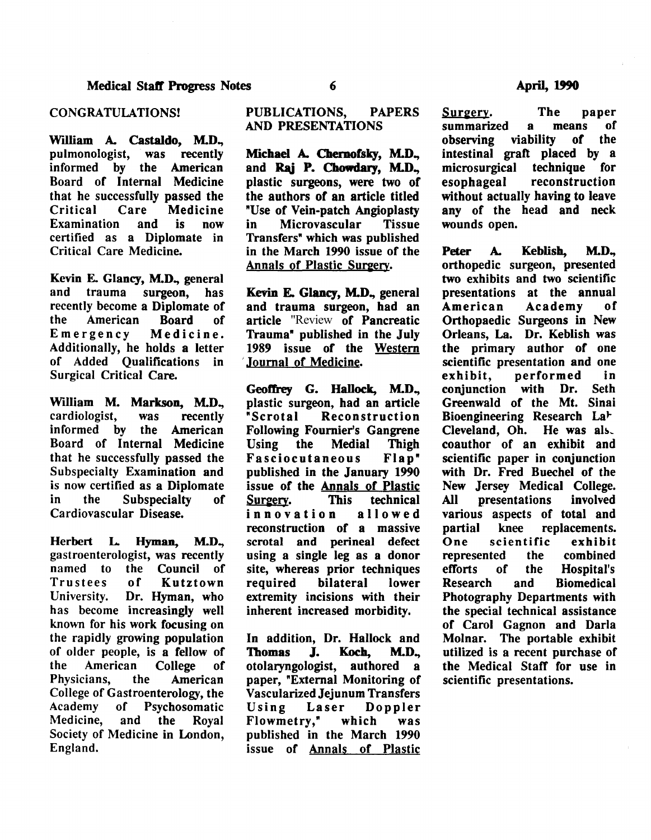William A. Castaldo, M.D., pulmonologist, was recently informed by the American Board of Internal Medicine that he successfully passed the<br>Critical Care Medicine re Medicine<br>and is now Examination certified as a Diplomate in Critical Care Medicine.

Kevin E. Glancy, M.D., general<br>and trauma surgeon, has trauma surgeon, has recently become a Diplomate of<br>the American Board of American Board of Emergency Medicine. Additionally, he holds a letter of Added Qualifications in Surgical Critical Care.

William M. Markson, M.D., cardiologist, was recently informed by the American Board of Internal Medicine that he successfully passed the Subspecialty Examination and is now certified as a Diplomate<br>in the Subspecialty of Subspecialty of Cardiovascular Disease.

Herbert L. Hyman, M.D., gastroenterologist, was recently named to the Council of Trustees of Kutztown University. Dr. Hyman, who has become increasingly well known for his work focusing on the rapidly growing population of older people, is a fellow of the American College of Physicians, the American College of Gastroenterology, the Academy of Psychosomatic Medicine, and the Royal Society of Medicine in London, England.

# PUBLICATIONS, PAPERS AND PRESENTATIONS

Michael A. Chemofsky, M.D., and Rai P. Chowdary, M.D., plastic surgeons, were two of the authors of an article titled "Use of Vein-patch Angioplasty<br>in Microvascular Tissue Microvascular Transfers" which was published in the March 1990 issue of the Annals of Plastic Surgery.

Kevin E. Glancy, M.D., general and trauma surgeon, had an article "Review of Pancreatic Trauma" published in the July 1989 issue of the Western 'Journal of Medicine.

Geoffrey G. Hallock, M.D., plastic surgeon, had an article Reconstruction Following Fournier's Gangrene Using the Medial Thigh Fasciocutaneous published in the January 1990 issue of the **Annals of Plastic**<br>Surgery. This technical Surgery. innovation allowed reconstruction of a massive scrotal and perineal defect using a single leg as a donor site, whereas prior techniques required bilateral lower extremity incisions with their inherent increased morbidity.

In addition, Dr. Hallock and Thomas J. Koch, M.D., otolaryngologist, authored a paper, "External Monitoring of Vascularized Jejunum Transfers Using Laser Doppler Flowmetry," which was published in the March 1990 issue of Annals of Plastic Surgery. The paper<br>summarized a means of summarized a means of<br>observing viability of the viability of the viability. intestinal graft placed by a<br>microsurgical technique for microsurgical<br>esophageal reconstruction without actually having to leave any of the head and neck wounds open.

Peter A. Keblish, M.D., orthopedic surgeon, presented two exhibits and two scientific presentations at the annual<br>American Academy of Academy of Orthopaedic Surgeons in New Orleans, La. Dr. Keblish was the primary author of one scientific presentation and one<br>exhibit, performed in performed in<br>with Dr. Seth conjunction with Dr. Greenwald of the Mt. Sinai Bioengineering Research La<sup>+</sup> Cleveland,  $Oh.$  He was als. coauthor of an exhibit and scientific paper in conjunction with Dr. Fred Buechel of the New Jersey Medical College. All presentations involved various aspects of total and<br>partial knee replacements. partial knee replacements.<br>One scientific exhibit scientific represented the combined efforts of the Hospital's Research and Biomedical Photography Departments with the special technical assistance of Carol Gagnon and Darla Molnar. The portable exhibit utilized is a recent purchase of the Medical Staff for use in scientific presentations.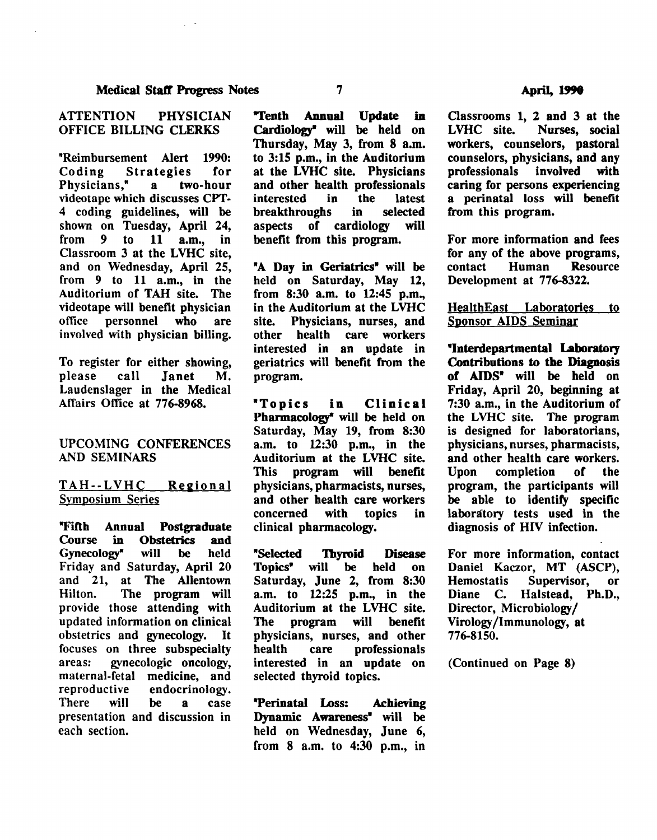## ATIENTION PHYSICIAN OFFICE BILLING CLERKS

"Reimbursement Alert 1990:<br>Coding Strategies for Coding Strategies for Physicians." videotape which discusses CPT-4 coding guidelines, will be shown on Tuesday, April 24,<br>from 9 to 11 a.m., in from  $9$  to Classroom 3 at the LVHC site, and on Wednesday, April 25, from 9 to 11 a.m., in the Auditorium of TAH site. The videotape will benefit physician office personnel who are involved with physician billing.

To register for either showing, please call Janet M. Laudenslager in the Medical Affairs Office at 776-8968.

#### UPCOMING CONFERENCES AND SEMINARS

TAH--LVHC Reeional Symposium Series

"Fifth Annual Postgraduate<br>Course in Obstetrics and Course in Obstetrics and Gynecology" will be held Friday and Saturday, April 20 and 21, at The Allentown Hilton. The program will provide those attending with updated information on clinical obstetrics and gynecology. It focuses on three subspecialty areas: gynecologic oncology, maternal-fetal medicine, and<br>reproductive endocrinology. endocrinology. There will be a case presentation and discussion in each section.

"Tenth Annual Update in Cardiology' will be held on Thursday, May 3, from 8 a.m. to 3:15 p.m., in the Auditorium at the LVHC site. Physicians and other health professionals<br>interested in the latest interested in the latest<br>breakthroughs in selected breakthroughs aspects of cardiology will benefit from this program.

"A Day in Geriatrics" will be held on Saturday, May 12, from 8:30 a.m. to 12:45 p.m., in the Auditorium at the LVHC site. Physicians, nurses, and other health care workers interested in an update in geriatrics will benefit from the program.

"Topics in Clinical Pharmacology' will be held on Saturday, May 19, from 8:30 a.m. to 12:30 p.m., in the Auditorium at the LVHC site. This program will benefit physicians, pharmacists, nurses, and other health care workers<br>concerned with topics in concerned with topics in clinical pharmacology.

"Selected 1byroid Disease Topics• will be held on Saturday, June 2, from 8:30 a.m. to 12:25 p.m., in the Auditorium at the LVHC site. The program will benefit physicians, nurses, and other health care professionals interested in an update on selected thyroid topics.

"Perinatal Loss: Achieving Dynamic Awareness• will be held on Wednesday, June 6, from 8 a.m. to 4:30 p.m., in

Classrooms 1, 2 and 3 at the Nurses, social workers, counselors, pastoral counselors, physicians, and any professionals involved with caring for persons experiencing a perinatal loss will benefit from this program.

For more information and fees for any of the above programs,<br>contact Human Resource **Resource** Development at 776-8322.

HealthEast Laboratories to Sponsor AIDS Seminar

"Interdepartmental Laboratory Contributions to the Diagnosis of AIDS" will be held on Friday, April 20, beginning at 7:30 a.m., in the Auditorium of the LVHC site. The program is designed for laboratorians, physicians, nurses, pharmacists, and other health care workers.<br>Upon completion of the completion program, the participants will be able to identify specific laboratory tests used in the diagnosis of HIV infection.

For more information, contact Daniel Kaczor, MT (ASCP),<br>Hemostatis Supervisor, or Supervisor, or Diane C. Halstead, Ph.D., Director, Microbiology/ Virology /Immunology, at 776-8150.

(Continued on Page 8)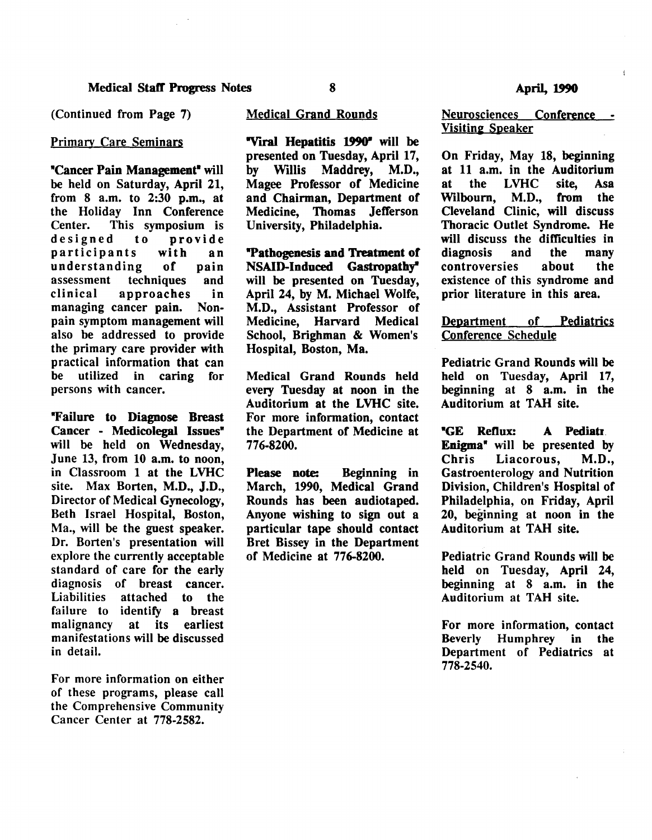## Primary Care Seminars

"Cancer Pain Management" will be held on Saturday, April 21, from 8 a.m. to 2:30 p.m., at the Holiday Inn Conference Center. This symposium is designed to provide participants with an understanding of pain<br>assessment techniques and assessment techniques clinical approaches in managing cancer pain. Nonpain symptom management will also be addressed to provide the primary care provider with practical information that can be utilized in caring for persons with cancer.

"Failure to Diagnose Breast Cancer - Medicolegal Issues" will be held on Wednesday, June 13, from 10 a.m. to noon, in Classroom 1 at the LVHC site. Max Borten, M.D., J.D., Director of Medical Gynecology, Beth Israel Hospital, Boston, Ma., will be the guest speaker. Dr. Borten's presentation will explore the currently acceptable standard of care for the early diagnosis of breast cancer. Liabilities attached to the failure to identify a breast malignancy at its earliest manifestations will be discussed in detail.

For more information on either of these programs, please call the Comprehensive Community Cancer Center at 778-2582.

#### Medical Grand Rounds

"Viral Hepatitis 1990" will be presented on Tuesday, April 17, by Willis Maddrey, M.D., Magee Professor of Medicine and Chairman, Department of Medicine, Thomas Jefferson University, Philadelphia.

"Pathogenesis and Treatment of NSAID-Induced Gastropathy" will be presented on Tuesday, April 24, by M. Michael Wolfe, M.D., Assistant Professor of Medicine, Harvard Medical School, Brighman & Women's Hospital, Boston, Ma.

Medical Grand Rounds held every Tuesday at noon in the Auditorium at the LVHC site. For more information, contact the Department of Medicine at 776-8200.

Please note: Beginning in March, 1990, Medical Grand Rounds bas been audiotaped. Anyone wishing to sign out a particular tape should contact Bret Bissey in the Department of Medicine at 776-8200.

 $\mathbf{I}$ 

Neurosciences Conference -**Visiting Speaker** 

On Friday, May 18, beginning at 11 a.m. in the Auditorium at the LVHC site, Asa Wilbourn, M.D., from the Cleveland Clinic, will discuss Thoracic Outlet Syndrome. He will discuss the difficulties in<br>diagnosis and the many diagnosis and the many controversies about the existence of this syndrome and prior literature in this area.

#### Department of Pediatrics Conference Schedule

Pediatric Grand Rounds will be held on Tuesday, April 17, beginning at 8 a.m. in the Auditorium at TAH site.

"GE ReDox: A Pediatr. Enigma" will be presented by Chris Liacorous, M.D., Gastroenterology and Nutrition Division, Children's Hospital of Philadelphia, on Friday, April 20, beginning at noon in the Auditorium at TAH site.

Pediatric Grand Rounds will be held on Tuesday, April 24, beginning at 8 a.m. in the Auditorium at TAH site.

For more information, contact Beverly Humphrey in the Department of Pediatrics at 778-2540.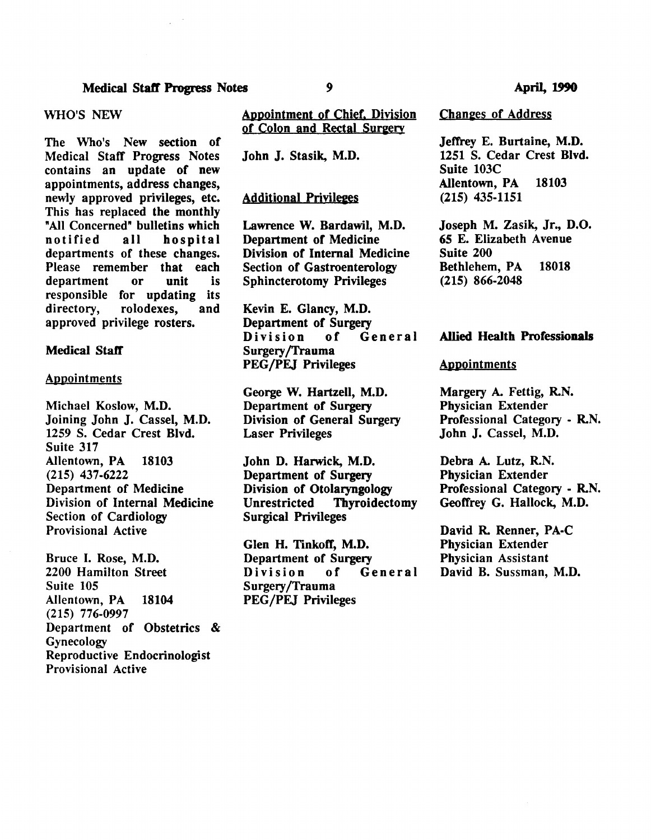#### WHO'S NEW

The Who's New section of Medical Staff Progress Notes contains an update of new appointments, address changes, newly approved privileges, etc. This has replaced the monthly "All Concerned" bulletins which<br>notified all hospital hospital departments of these changes. Please remember that each<br>department or unit is department or unit is responsible for updating its directory, rolodexes, and approved privilege rosters.

#### **Medical Staff**

#### Appointments

Michael Koslow, M.D. Joining John J, Cassel, M.D. 1259 S. Cedar Crest Blvd. Suite 317 Allentown, PA 18103 (215) 437-6222 Department of Medicine Division of Internal Medicine Section of Cardiology Provisional Active

Bruce I. Rose, M.D. 2200 Hamilton Street Suite 105 Allentown, PA 18104 (215) 776-0997 Department of Obstetrics & Gynecology Reproductive Endocrinologist Provisional Active

#### Appointment of Chief. Division of Colon and Rectal Sureery

John J, Stasik, M.D.

#### **Additional Privileges**

Lawrence W. Bardawil, M.D. Department of Medicine Division of Internal Medicine Section of Gastroenterology Sphincterotomy Privileges

Kevin E. Glancy, M.D. Department of Surgery<br>Division of General Division Surgery /Trauma PEG /PEJ Privileges

George W. Hartzell, M.D. Department of Surgery Division of General Surgery Laser Privileges

John D. Harwick, M.D. Department of Surgery Division of Otolaryngology Unrestricted Thyroidectomy Surgical Privileges

Glen H. TinkofT, M.D. Department of Surgery<br>Division of General Division Surgery /Trauma PEG /PEJ Privileges

Changes of Address

Jeffrey E. Burtaine, M.D. 1251 S. Cedar Crest Blvd. Suite 103C Allentown, PA 18103 (215) 435-1151

Joseph M. Zasik, Jr., D.O. 65 E. Elizabeth Avenue Suite 200 Bethlehem, PA 18018 (215) 866-2048

#### Allied Health Professionals

#### Appointments

Margery A. Fettig, R.N. Physician Extender Professional Category - R.N. John J, Cassel, M.D.

Debra A. Lutz, R.N. Physician Extender Professional Category - R.N. Geoffrey G. Hallock, M.D.

David R. Renner, PA-C Physician Extender Physician Assistant David B. Sussman, M.D.